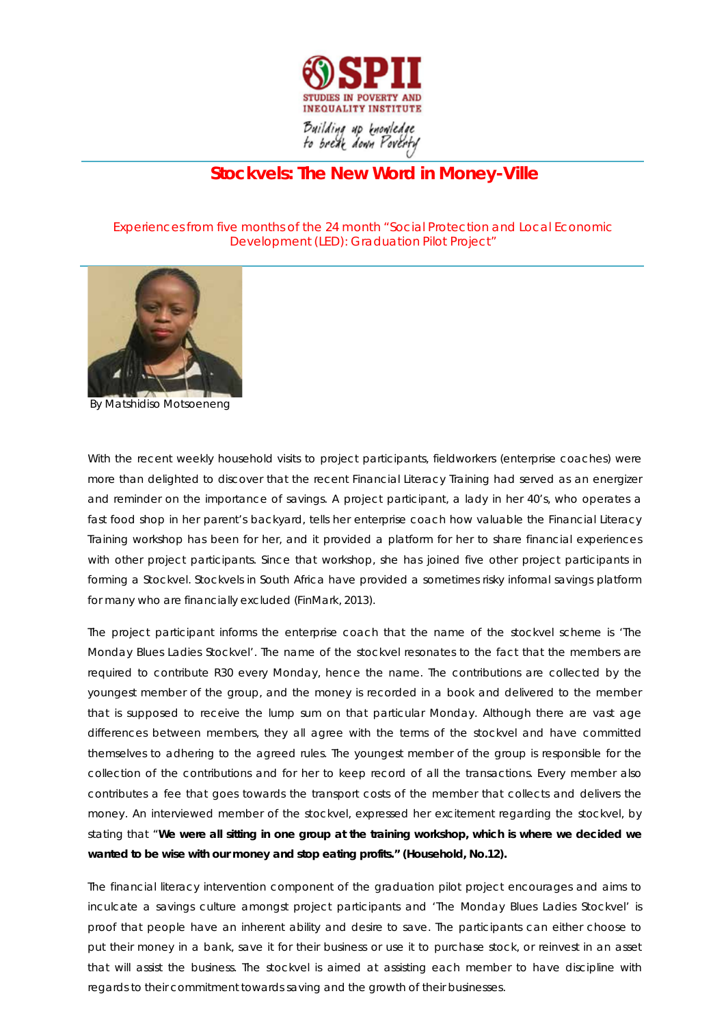

## **Stockvels: The New Word in Money-Ville**

*Experiences from five months of the 24 month "Social Protection and Local Economic Development (LED): Graduation Pilot Project"*



By Matshidiso Motsoeneng

With the recent weekly household visits to project participants, fieldworkers (enterprise coaches) were more than delighted to discover that the recent Financial Literacy Training had served as an energizer and reminder on the importance of savings. A project participant, a lady in her 40's, who operates a fast food shop in her parent's backyard, tells her enterprise coach how valuable the Financial Literacy Training workshop has been for her, and it provided a platform for her to share financial experiences with other project participants. Since that workshop, she has joined five other project participants in forming a *Stockvel*. *Stockvels* in South Africa have provided a sometimes risky informal savings platform for many who are financially excluded (FinMark, 2013).

The project participant informs the enterprise coach that the name of the *stockvel* scheme is *'The Monday Blues Ladies Stockvel*'. The name of the *stockvel* resonates to the fact that the members are required to contribute R30 every Monday, hence the name. The contributions are collected by the youngest member of the group, and the money is recorded in a book and delivered to the member that is supposed to receive the lump sum on that particular Monday. Although there are vast age differences between members, they all agree with the terms of the *stockvel* and have committed themselves to adhering to the agreed rules. The youngest member of the group is responsible for the collection of the contributions and for her to keep record of all the transactions. Every member also contributes a fee that goes towards the transport costs of the member that collects and delivers the money. An interviewed member of the s*tockvel*, expressed her excitement regarding the *stockvel*, by stating that "*We were all sitting in one group at the training workshop, which is where we decided we wanted to be wise with our money and stop eating profits."* **(Household, No.12).**

The financial literacy intervention component of the graduation pilot project encourages and aims to inculcate a savings culture amongst project participants and '*The Monday Blues Ladies Stockvel'* is proof that people have an inherent ability and desire to save. The participants can either choose to put their money in a bank, save it for their business or use it to purchase stock, or reinvest in an asset that will assist the business. The *stockvel* is aimed at assisting each member to have discipline with regards to their commitment towards saving and the growth of their businesses.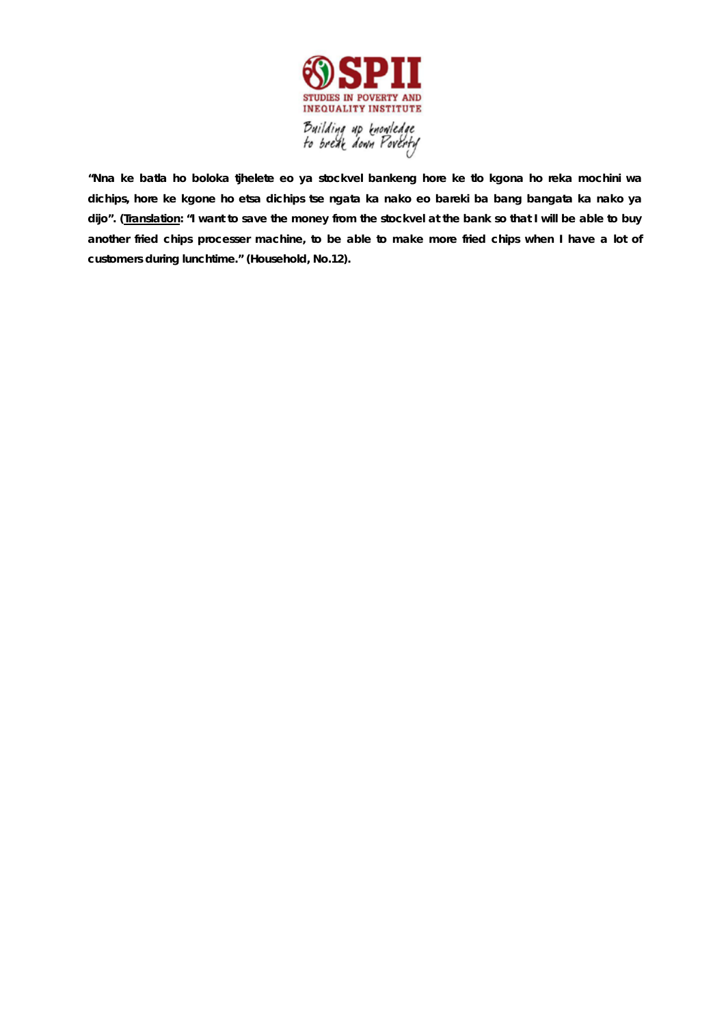

**"***Nna ke batla ho boloka tjhelete eo ya stockvel bankeng hore ke tlo kgona ho reka mochini wa*  dichips, hore ke kgone ho etsa dichips tse ngata ka nako eo bareki ba bang bangata ka nako ya dijo". (Iranslation: "I want to save the money from the stockvel at the bank so that I will be able to buy *another fried chips processer machine, to be able to make more fried chips when I have a lot of customers during lunchtime." (Household, No.12).*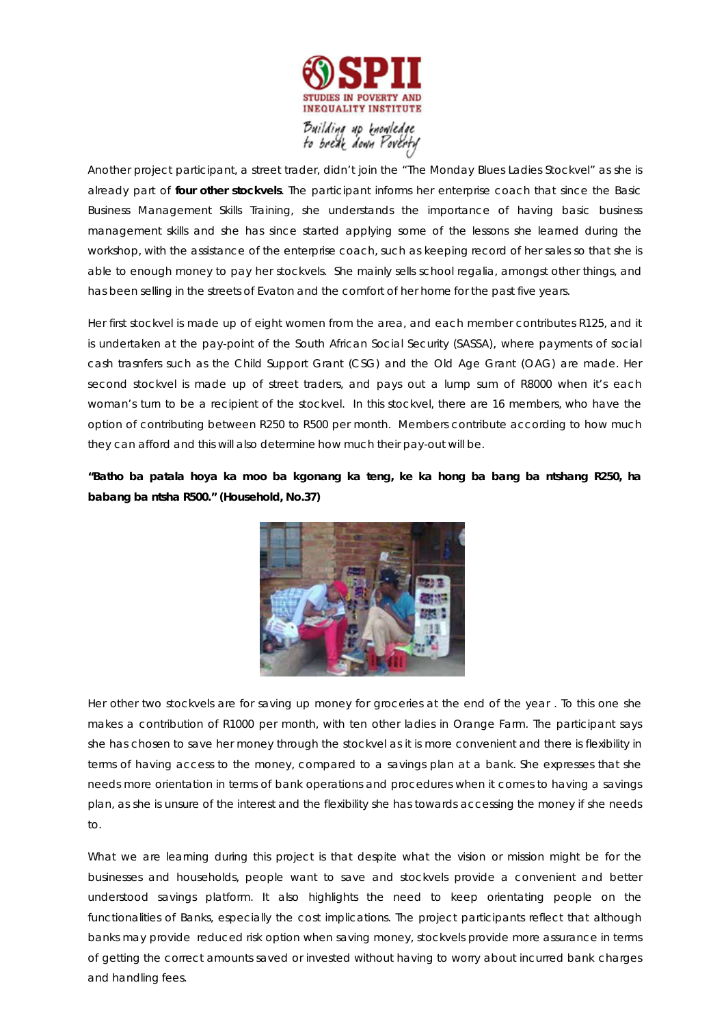

Another project participant, a street trader, didn't join the *"The Monday Blues Ladies Stockvel"* as she is already part of **four other** *stockvels*. The participant informs her enterprise coach that since the Basic Business Management Skills Training, she understands the importance of having basic business management skills and she has since started applying some of the lessons she learned during the workshop, with the assistance of the enterprise coach, such as keeping record of her sales so that she is able to enough money to pay her *stockvels*. She mainly sells school regalia, amongst other things, and has been selling in the streets of Evaton and the comfort of her home for the past five years.

Her first *stockvel* is made up of eight women from the area, and each member contributes R125, and it is undertaken at the pay-point of the South African Social Security (SASSA), where payments of social cash trasnfers such as the Child Support Grant (CSG) and the Old Age Grant (OAG) are made. Her second *stockvel* is made up of street traders, and pays out a lump sum of R8000 when it's each woman's turn to be a recipient of the *stockvel*. In this stockvel*, there are 16* members, who have the option of contributing between R250 to R500 per month. Members contribute according to how much they can afford and this will also determine how much their pay-out will be.

## *"Batho ba patala hoya ka moo ba kgonang ka teng, ke ka hong ba bang ba ntshang R250, ha babang ba ntsha R500." (Household, No.37)*



Her other two *stockvels* are for saving up money for groceries at the end of the year . To this one she makes a contribution of R1000 per month, with ten other ladies in Orange Farm. The participant says she has chosen to save her money through the *stockvel* as it is more convenient and there is flexibility in terms of having access to the money, compared to a savings plan at a bank. She expresses that she needs more orientation in terms of bank operations and procedures when it comes to having a savings plan, as she is unsure of the interest and the flexibility she has towards accessing the money if she needs to.

What we are learning during this project is that despite what the vision or mission might be for the businesses and households, people want to save and *stockvels* provide a convenient and better understood savings platform. It also highlights the need to keep orientating people on the functionalities of Banks, especially the cost implications. The project participants reflect that although banks may provide reduced risk option when saving money, *stockvels* provide more assurance in terms of getting the correct amounts saved or invested without having to worry about incurred bank charges and handling fees.